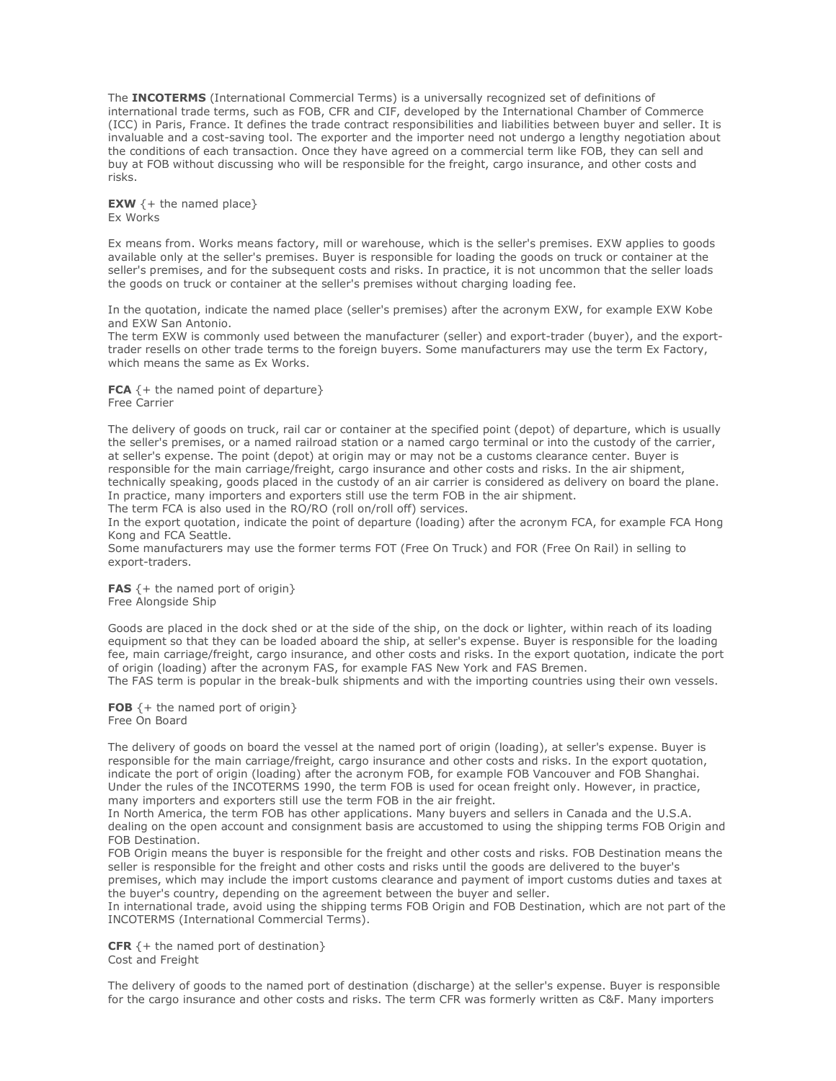The **INCOTERMS** (International Commercial Terms) is a universally recognized set of definitions of international trade terms, such as FOB, CFR and CIF, developed by the International Chamber of Commerce (ICC) in Paris, France. It defines the trade contract responsibilities and liabilities between buyer and seller. It is invaluable and a cost-saving tool. The exporter and the importer need not undergo a lengthy negotiation about the conditions of each transaction. Once they have agreed on a commercial term like FOB, they can sell and buy at FOB without discussing who will be responsible for the freight, cargo insurance, and other costs and risks.

**EXW**  $\{+$  the named place} Ex Works

Ex means from. Works means factory, mill or warehouse, which is the seller's premises. EXW applies to goods available only at the seller's premises. Buyer is responsible for loading the goods on truck or container at the seller's premises, and for the subsequent costs and risks. In practice, it is not uncommon that the seller loads the goods on truck or container at the seller's premises without charging loading fee.

In the quotation, indicate the named place (seller's premises) after the acronym EXW, for example EXW Kobe and EXW San Antonio.

The term EXW is commonly used between the manufacturer (seller) and export-trader (buyer), and the exporttrader resells on other trade terms to the foreign buyers. Some manufacturers may use the term Ex Factory, which means the same as Ex Works.

FCA  $\{+$  the named point of departure} Free Carrier

The delivery of goods on truck, rail car or container at the specified point (depot) of departure, which is usually the seller's premises, or a named railroad station or a named cargo terminal or into the custody of the carrier, at seller's expense. The point (depot) at origin may or may not be a customs clearance center. Buyer is responsible for the main carriage/freight, cargo insurance and other costs and risks. In the air shipment, technically speaking, goods placed in the custody of an air carrier is considered as delivery on board the plane. In practice, many importers and exporters still use the term FOB in the air shipment.

The term FCA is also used in the RO/RO (roll on/roll off) services.

In the export quotation, indicate the point of departure (loading) after the acronym FCA, for example FCA Hong Kong and FCA Seattle.

Some manufacturers may use the former terms FOT (Free On Truck) and FOR (Free On Rail) in selling to export-traders.

**FAS**  $\{+$  the named port of origin $\}$ Free Alongside Ship

Goods are placed in the dock shed or at the side of the ship, on the dock or lighter, within reach of its loading equipment so that they can be loaded aboard the ship, at seller's expense. Buyer is responsible for the loading fee, main carriage/freight, cargo insurance, and other costs and risks. In the export quotation, indicate the port of origin (loading) after the acronym FAS, for example FAS New York and FAS Bremen.

The FAS term is popular in the break-bulk shipments and with the importing countries using their own vessels.

FOB  $\{+$  the named port of origin} Free On Board

The delivery of goods on board the vessel at the named port of origin (loading), at seller's expense. Buyer is responsible for the main carriage/freight, cargo insurance and other costs and risks. In the export quotation, indicate the port of origin (loading) after the acronym FOB, for example FOB Vancouver and FOB Shanghai. Under the rules of the INCOTERMS 1990, the term FOB is used for ocean freight only. However, in practice, many importers and exporters still use the term FOB in the air freight.

In North America, the term FOB has other applications. Many buyers and sellers in Canada and the U.S.A. dealing on the open account and consignment basis are accustomed to using the shipping terms FOB Origin and FOB Destination.

FOB Origin means the buyer is responsible for the freight and other costs and risks. FOB Destination means the seller is responsible for the freight and other costs and risks until the goods are delivered to the buyer's premises, which may include the import customs clearance and payment of import customs duties and taxes at the buyer's country, depending on the agreement between the buyer and seller.

In international trade, avoid using the shipping terms FOB Origin and FOB Destination, which are not part of the INCOTERMS (International Commercial Terms).

**CFR**  $\{+$  the named port of destination $\}$ Cost and Freight

The delivery of goods to the named port of destination (discharge) at the seller's expense. Buyer is responsible for the cargo insurance and other costs and risks. The term CFR was formerly written as C&F. Many importers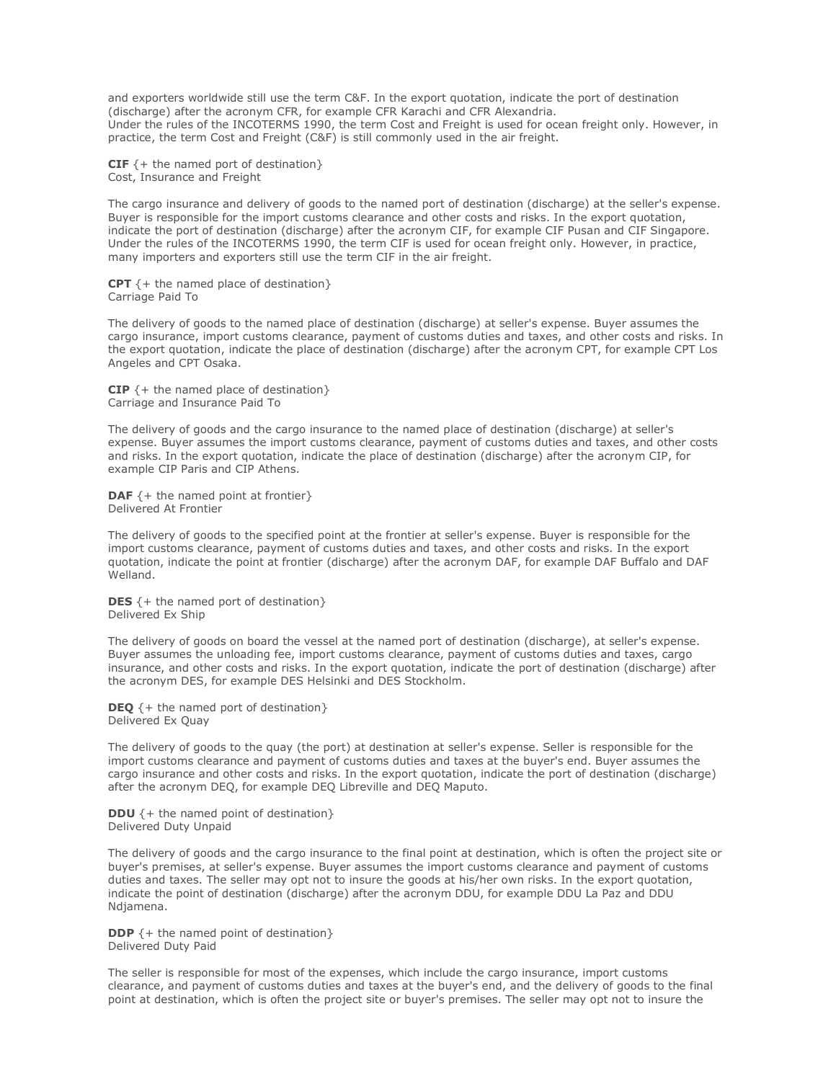and exporters worldwide still use the term C&F. In the export quotation, indicate the port of destination (discharge) after the acronym CFR, for example CFR Karachi and CFR Alexandria. Under the rules of the INCOTERMS 1990, the term Cost and Freight is used for ocean freight only. However, in practice, the term Cost and Freight (C&F) is still commonly used in the air freight.

**CIF**  $\{+$  the named port of destination $\}$ Cost, Insurance and Freight

The cargo insurance and delivery of goods to the named port of destination (discharge) at the seller's expense. Buyer is responsible for the import customs clearance and other costs and risks. In the export quotation, indicate the port of destination (discharge) after the acronym CIF, for example CIF Pusan and CIF Singapore. Under the rules of the INCOTERMS 1990, the term CIF is used for ocean freight only. However, in practice, many importers and exporters still use the term CIF in the air freight.

**CPT**  $\{+$  the named place of destination $\}$ Carriage Paid To

The delivery of goods to the named place of destination (discharge) at seller's expense. Buyer assumes the cargo insurance, import customs clearance, payment of customs duties and taxes, and other costs and risks. In the export quotation, indicate the place of destination (discharge) after the acronym CPT, for example CPT Los Angeles and CPT Osaka.

**CIP**  $\{+$  the named place of destination $\}$ Carriage and Insurance Paid To

The delivery of goods and the cargo insurance to the named place of destination (discharge) at seller's expense. Buyer assumes the import customs clearance, payment of customs duties and taxes, and other costs and risks. In the export quotation, indicate the place of destination (discharge) after the acronym CIP, for example CIP Paris and CIP Athens.

**DAF**  $\{+$  the named point at frontier $\}$ Delivered At Frontier

The delivery of goods to the specified point at the frontier at seller's expense. Buyer is responsible for the import customs clearance, payment of customs duties and taxes, and other costs and risks. In the export quotation, indicate the point at frontier (discharge) after the acronym DAF, for example DAF Buffalo and DAF Welland.

**DES**  $\{+$  the named port of destination $\}$ Delivered Ex Ship

The delivery of goods on board the vessel at the named port of destination (discharge), at seller's expense. Buyer assumes the unloading fee, import customs clearance, payment of customs duties and taxes, cargo insurance, and other costs and risks. In the export quotation, indicate the port of destination (discharge) after the acronym DES, for example DES Helsinki and DES Stockholm.

**DEQ**  $\{+$  the named port of destination $\}$ Delivered Ex Quay

The delivery of goods to the quay (the port) at destination at seller's expense. Seller is responsible for the import customs clearance and payment of customs duties and taxes at the buyer's end. Buyer assumes the cargo insurance and other costs and risks. In the export quotation, indicate the port of destination (discharge) after the acronym DEQ, for example DEQ Libreville and DEQ Maputo.

**DDU**  $\{+$  the named point of destination $\}$ Delivered Duty Unpaid

The delivery of goods and the cargo insurance to the final point at destination, which is often the project site or buyer's premises, at seller's expense. Buyer assumes the import customs clearance and payment of customs duties and taxes. The seller may opt not to insure the goods at his/her own risks. In the export quotation, indicate the point of destination (discharge) after the acronym DDU, for example DDU La Paz and DDU Ndjamena.

**DDP**  $\{+$  the named point of destination $\}$ Delivered Duty Paid

The seller is responsible for most of the expenses, which include the cargo insurance, import customs clearance, and payment of customs duties and taxes at the buyer's end, and the delivery of goods to the final point at destination, which is often the project site or buyer's premises. The seller may opt not to insure the